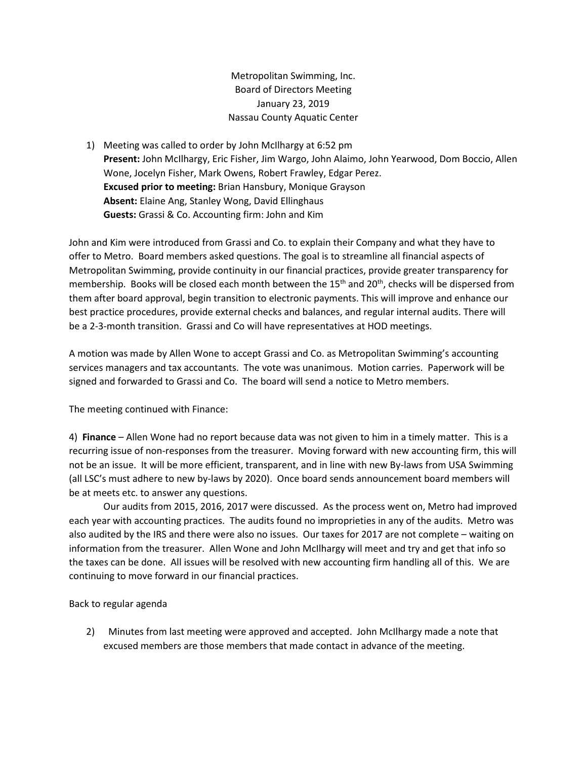Metropolitan Swimming, Inc. Board of Directors Meeting January 23, 2019 Nassau County Aquatic Center

1) Meeting was called to order by John McIlhargy at 6:52 pm **Present:** John McIlhargy, Eric Fisher, Jim Wargo, John Alaimo, John Yearwood, Dom Boccio, Allen Wone, Jocelyn Fisher, Mark Owens, Robert Frawley, Edgar Perez. **Excused prior to meeting:** Brian Hansbury, Monique Grayson **Absent:** Elaine Ang, Stanley Wong, David Ellinghaus **Guests:** Grassi & Co. Accounting firm: John and Kim

John and Kim were introduced from Grassi and Co. to explain their Company and what they have to offer to Metro. Board members asked questions. The goal is to streamline all financial aspects of Metropolitan Swimming, provide continuity in our financial practices, provide greater transparency for membership. Books will be closed each month between the 15<sup>th</sup> and 20<sup>th</sup>, checks will be dispersed from them after board approval, begin transition to electronic payments. This will improve and enhance our best practice procedures, provide external checks and balances, and regular internal audits. There will be a 2-3-month transition. Grassi and Co will have representatives at HOD meetings.

A motion was made by Allen Wone to accept Grassi and Co. as Metropolitan Swimming's accounting services managers and tax accountants. The vote was unanimous. Motion carries. Paperwork will be signed and forwarded to Grassi and Co. The board will send a notice to Metro members.

The meeting continued with Finance:

4) **Finance** – Allen Wone had no report because data was not given to him in a timely matter. This is a recurring issue of non-responses from the treasurer. Moving forward with new accounting firm, this will not be an issue. It will be more efficient, transparent, and in line with new By-laws from USA Swimming (all LSC's must adhere to new by-laws by 2020). Once board sends announcement board members will be at meets etc. to answer any questions.

Our audits from 2015, 2016, 2017 were discussed. As the process went on, Metro had improved each year with accounting practices. The audits found no improprieties in any of the audits. Metro was also audited by the IRS and there were also no issues. Our taxes for 2017 are not complete – waiting on information from the treasurer. Allen Wone and John McIlhargy will meet and try and get that info so the taxes can be done. All issues will be resolved with new accounting firm handling all of this. We are continuing to move forward in our financial practices.

Back to regular agenda

2) Minutes from last meeting were approved and accepted. John McIlhargy made a note that excused members are those members that made contact in advance of the meeting.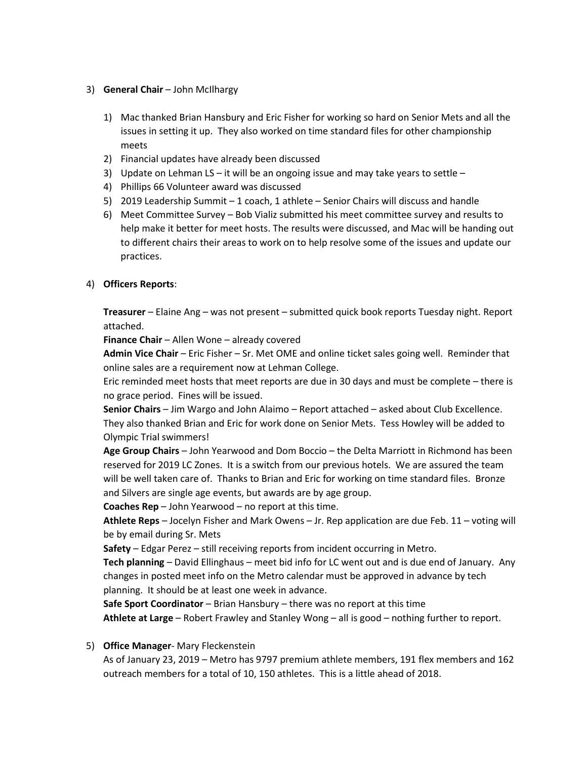### 3) **General Chair** – John McIlhargy

- 1) Mac thanked Brian Hansbury and Eric Fisher for working so hard on Senior Mets and all the issues in setting it up. They also worked on time standard files for other championship meets
- 2) Financial updates have already been discussed
- 3) Update on Lehman LS it will be an ongoing issue and may take years to settle –
- 4) Phillips 66 Volunteer award was discussed
- 5) 2019 Leadership Summit 1 coach, 1 athlete Senior Chairs will discuss and handle
- 6) Meet Committee Survey Bob Vializ submitted his meet committee survey and results to help make it better for meet hosts. The results were discussed, and Mac will be handing out to different chairs their areas to work on to help resolve some of the issues and update our practices.

# 4) **Officers Reports**:

**Treasurer** – Elaine Ang – was not present – submitted quick book reports Tuesday night. Report attached.

**Finance Chair** – Allen Wone – already covered

**Admin Vice Chair** – Eric Fisher – Sr. Met OME and online ticket sales going well. Reminder that online sales are a requirement now at Lehman College.

Eric reminded meet hosts that meet reports are due in 30 days and must be complete – there is no grace period. Fines will be issued.

**Senior Chairs** – Jim Wargo and John Alaimo – Report attached – asked about Club Excellence. They also thanked Brian and Eric for work done on Senior Mets. Tess Howley will be added to Olympic Trial swimmers!

**Age Group Chairs** – John Yearwood and Dom Boccio – the Delta Marriott in Richmond has been reserved for 2019 LC Zones. It is a switch from our previous hotels. We are assured the team will be well taken care of. Thanks to Brian and Eric for working on time standard files. Bronze and Silvers are single age events, but awards are by age group.

**Coaches Rep** – John Yearwood – no report at this time.

**Athlete Reps** – Jocelyn Fisher and Mark Owens – Jr. Rep application are due Feb. 11 – voting will be by email during Sr. Mets

**Safety** – Edgar Perez – still receiving reports from incident occurring in Metro.

**Tech planning** – David Ellinghaus – meet bid info for LC went out and is due end of January. Any changes in posted meet info on the Metro calendar must be approved in advance by tech planning. It should be at least one week in advance.

**Safe Sport Coordinator** – Brian Hansbury – there was no report at this time **Athlete at Large** – Robert Frawley and Stanley Wong – all is good – nothing further to report.

### 5) **Office Manager**- Mary Fleckenstein

As of January 23, 2019 – Metro has 9797 premium athlete members, 191 flex members and 162 outreach members for a total of 10, 150 athletes. This is a little ahead of 2018.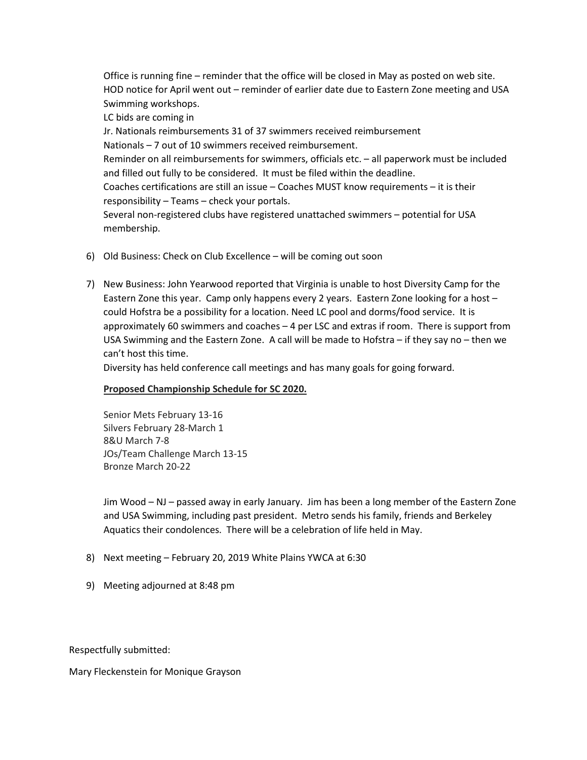Office is running fine – reminder that the office will be closed in May as posted on web site. HOD notice for April went out – reminder of earlier date due to Eastern Zone meeting and USA Swimming workshops.

LC bids are coming in

Jr. Nationals reimbursements 31 of 37 swimmers received reimbursement Nationals – 7 out of 10 swimmers received reimbursement. Reminder on all reimbursements for swimmers, officials etc. – all paperwork must be included and filled out fully to be considered. It must be filed within the deadline. Coaches certifications are still an issue – Coaches MUST know requirements – it is their responsibility – Teams – check your portals. Several non-registered clubs have registered unattached swimmers – potential for USA membership.

- 6) Old Business: Check on Club Excellence will be coming out soon
- 7) New Business: John Yearwood reported that Virginia is unable to host Diversity Camp for the Eastern Zone this year. Camp only happens every 2 years. Eastern Zone looking for a host – could Hofstra be a possibility for a location. Need LC pool and dorms/food service. It is approximately 60 swimmers and coaches – 4 per LSC and extras if room. There is support from USA Swimming and the Eastern Zone. A call will be made to Hofstra – if they say no – then we can't host this time.

Diversity has held conference call meetings and has many goals for going forward.

# **Proposed Championship Schedule for SC 2020.**

Senior Mets February 13-16 Silvers February 28-March 1 8&U March 7-8 JOs/Team Challenge March 13-15 Bronze March 20-22

Jim Wood – NJ – passed away in early January. Jim has been a long member of the Eastern Zone and USA Swimming, including past president. Metro sends his family, friends and Berkeley Aquatics their condolences. There will be a celebration of life held in May.

- 8) Next meeting February 20, 2019 White Plains YWCA at 6:30
- 9) Meeting adjourned at 8:48 pm

Respectfully submitted:

Mary Fleckenstein for Monique Grayson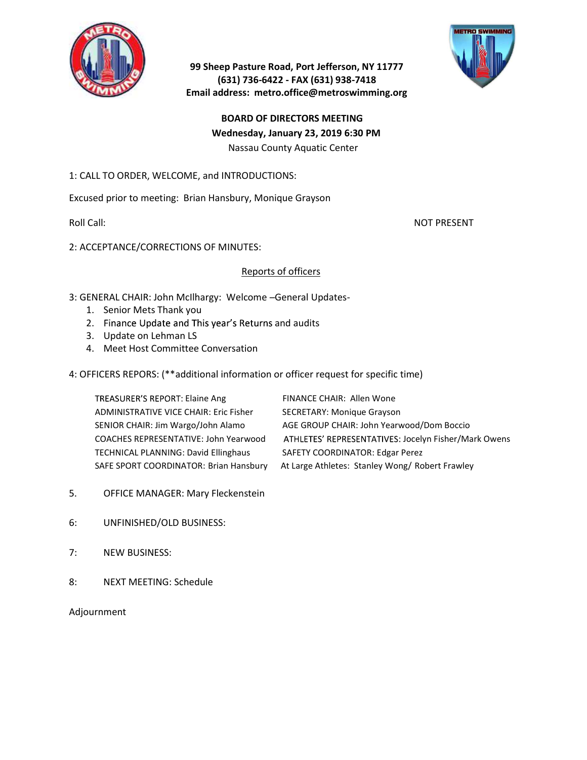

99 Sheep Pasture Road, Port Jefferson, NY 11777 (631) 736-6422 - FAX (631) 938-7418 Email address: metro.office@metroswimming.org



# BOARD OF DIRECTORS MEETING Wednesday, January 23, 2019 6:30 PM Nassau County Aquatic Center

# 1: CALL TO ORDER, WELCOME, and INTRODUCTIONS:

Excused prior to meeting: Brian Hansbury, Monique Grayson

2: ACCEPTANCE/CORRECTIONS OF MINUTES:

# Reports of officers

3: GENERAL CHAIR: John McIlhargy: Welcome -General Updates-

- 1. Senior Mets Thank you
- 2. Finance Update and This year's Returns and audits
- 3. Update on Lehman LS
- 4. Meet Host Committee Conversation
- 4: OFFICERS REPORS: (\*\*additional information or officer request for specific time)

TREASURER'S REPORT: Elaine Ang FINANCE CHAIR: Allen Wone ADMINISTRATIVE VICE CHAIR: Eric Fisher SECRETARY: Monique Grayson SENIOR CHAIR: Jim Wargo/John Alamo AGE GROUP CHAIR: John Yearwood/Dom Boccio COACHES REPRESENTATIVE: John Yearwood ATHLETES' REPRESENTATIVES: Jocelyn Fisher/Mark Owens TECHNICAL PLANNING: David Ellinghaus SAFETY COORDINATOR: Edgar Perez SAFE SPORT COORDINATOR: Brian Hansbury At Large Athletes: Stanley Wong/ Robert Frawley

- 5. OFFICE MANAGER: Mary Fleckenstein
- 6: UNFINISHED/OLD BUSINESS:
- 7: NEW BUSINESS:
- 8: NEXT MEETING: Schedule

Adjournment

Roll Call: Note that the second control of the second control of the second control of the second control of the second control of the second control of the second control of the second control of the second control of the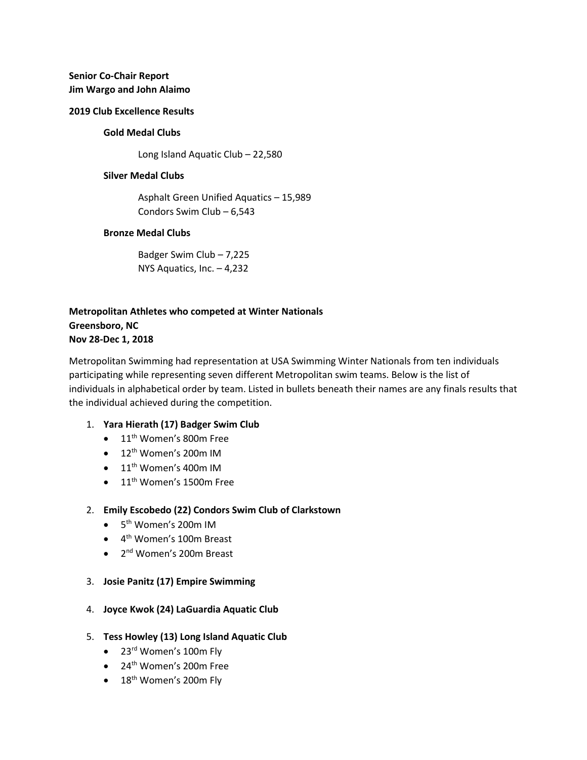## **Senior Co-Chair Report Jim Wargo and John Alaimo**

#### **2019 Club Excellence Results**

#### **Gold Medal Clubs**

Long Island Aquatic Club – 22,580

#### **Silver Medal Clubs**

Asphalt Green Unified Aquatics – 15,989 Condors Swim Club – 6,543

### **Bronze Medal Clubs**

Badger Swim Club – 7,225 NYS Aquatics, Inc. – 4,232

# **Metropolitan Athletes who competed at Winter Nationals Greensboro, NC Nov 28-Dec 1, 2018**

Metropolitan Swimming had representation at USA Swimming Winter Nationals from ten individuals participating while representing seven different Metropolitan swim teams. Below is the list of individuals in alphabetical order by team. Listed in bullets beneath their names are any finals results that the individual achieved during the competition.

### 1. **Yara Hierath (17) Badger Swim Club**

- 11<sup>th</sup> Women's 800m Free
- $\bullet$  12<sup>th</sup> Women's 200m IM
- $\bullet$  11<sup>th</sup> Women's 400m IM
- $\bullet$  11<sup>th</sup> Women's 1500m Free

### 2. **Emily Escobedo (22) Condors Swim Club of Clarkstown**

- 5<sup>th</sup> Women's 200m IM
- 4<sup>th</sup> Women's 100m Breast
- 2<sup>nd</sup> Women's 200m Breast
- 3. **Josie Panitz (17) Empire Swimming**
- 4. **Joyce Kwok (24) LaGuardia Aquatic Club**

### 5. **Tess Howley (13) Long Island Aquatic Club**

- 23<sup>rd</sup> Women's 100m Fly
- 24th Women's 200m Free
- 18<sup>th</sup> Women's 200m Fly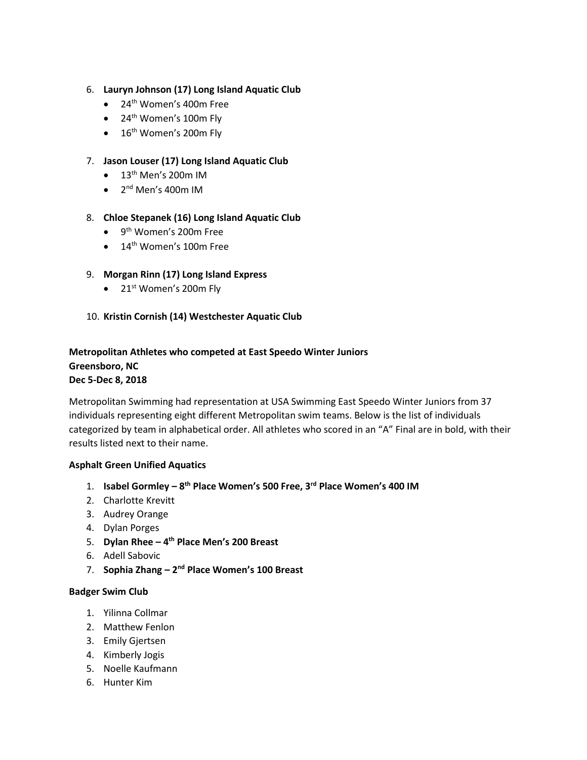# 6. **Lauryn Johnson (17) Long Island Aquatic Club**

- $\bullet$  24<sup>th</sup> Women's 400m Free
- $\bullet$  24<sup>th</sup> Women's 100m Fly
- 16<sup>th</sup> Women's 200m Fly

## 7. **Jason Louser (17) Long Island Aquatic Club**

- $\bullet$  13<sup>th</sup> Men's 200m IM
- $\bullet$  2<sup>nd</sup> Men's 400m IM

# 8. **Chloe Stepanek (16) Long Island Aquatic Club**

- 9<sup>th</sup> Women's 200m Free
- $\bullet$  14<sup>th</sup> Women's 100m Free

# 9. **Morgan Rinn (17) Long Island Express**

 $\bullet$  21st Women's 200m Fly

# 10. **Kristin Cornish (14) Westchester Aquatic Club**

# **Metropolitan Athletes who competed at East Speedo Winter Juniors Greensboro, NC**

# **Dec 5-Dec 8, 2018**

Metropolitan Swimming had representation at USA Swimming East Speedo Winter Juniors from 37 individuals representing eight different Metropolitan swim teams. Below is the list of individuals categorized by team in alphabetical order. All athletes who scored in an "A" Final are in bold, with their results listed next to their name.

## **Asphalt Green Unified Aquatics**

- 1. **Isabel Gormley – 8 th Place Women's 500 Free, 3rd Place Women's 400 IM**
- 2. Charlotte Krevitt
- 3. Audrey Orange
- 4. Dylan Porges
- 5. **Dylan Rhee – 4 th Place Men's 200 Breast**
- 6. Adell Sabovic
- 7. **Sophia Zhang – 2 nd Place Women's 100 Breast**

# **Badger Swim Club**

- 1. Yilinna Collmar
- 2. Matthew Fenlon
- 3. Emily Gjertsen
- 4. Kimberly Jogis
- 5. Noelle Kaufmann
- 6. Hunter Kim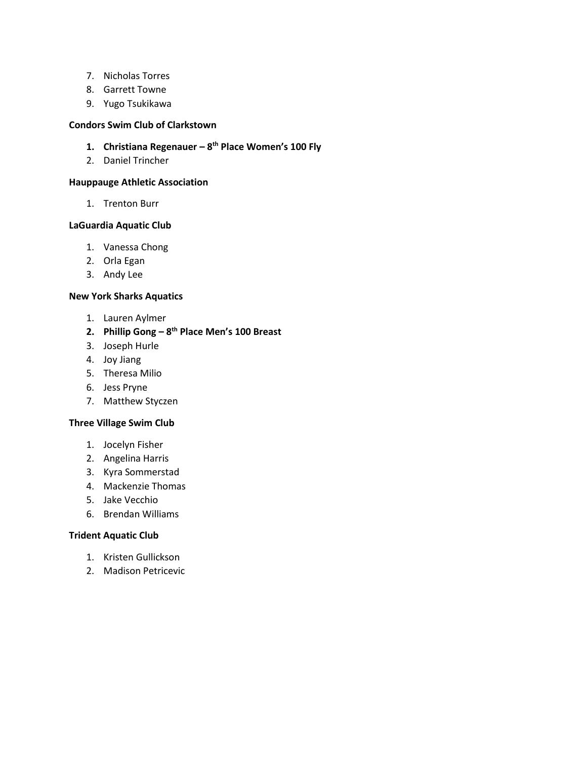- 7. Nicholas Torres
- 8. Garrett Towne
- 9. Yugo Tsukikawa

#### **Condors Swim Club of Clarkstown**

- **1. Christiana Regenauer – 8 th Place Women's 100 Fly**
- 2. Daniel Trincher

#### **Hauppauge Athletic Association**

1. Trenton Burr

#### **LaGuardia Aquatic Club**

- 1. Vanessa Chong
- 2. Orla Egan
- 3. Andy Lee

#### **New York Sharks Aquatics**

- 1. Lauren Aylmer
- **2. Phillip Gong – 8 th Place Men's 100 Breast**
- 3. Joseph Hurle
- 4. Joy Jiang
- 5. Theresa Milio
- 6. Jess Pryne
- 7. Matthew Styczen

#### **Three Village Swim Club**

- 1. Jocelyn Fisher
- 2. Angelina Harris
- 3. Kyra Sommerstad
- 4. Mackenzie Thomas
- 5. Jake Vecchio
- 6. Brendan Williams

#### **Trident Aquatic Club**

- 1. Kristen Gullickson
- 2. Madison Petricevic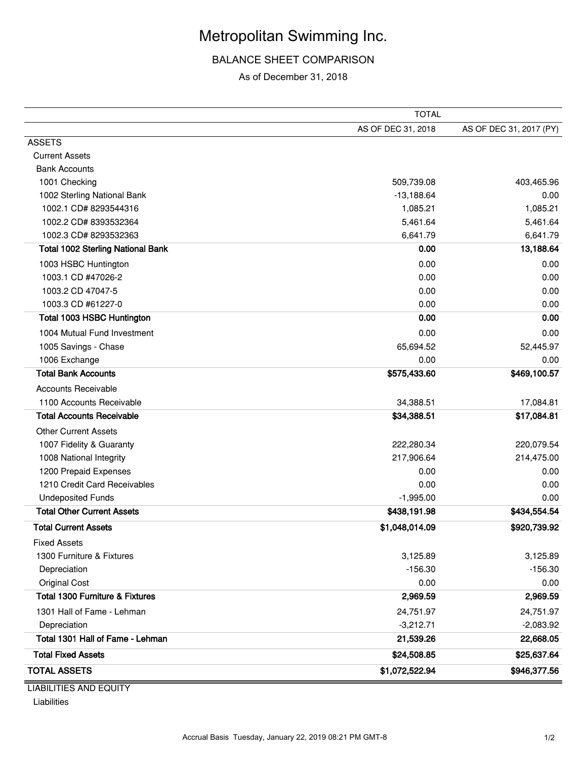# Metropolitan Swimming Inc.

BALANCE SHEET COMPARISON

As of December 31, 2018

|                                            | <b>TOTAL</b>       |                         |  |  |
|--------------------------------------------|--------------------|-------------------------|--|--|
|                                            | AS OF DEC 31, 2018 | AS OF DEC 31, 2017 (PY) |  |  |
| <b>ASSETS</b>                              |                    |                         |  |  |
| <b>Current Assets</b>                      |                    |                         |  |  |
| <b>Bank Accounts</b>                       |                    |                         |  |  |
| 1001 Checking                              | 509,739.08         | 403,465.96              |  |  |
| 1002 Sterling National Bank                | $-13,188.64$       | 0.00                    |  |  |
| 1002.1 CD# 8293544316                      | 1,085.21           | 1,085.21                |  |  |
| 1002.2 CD# 8393532364                      | 5,461.64           | 5,461.64                |  |  |
| 1002.3 CD# 8293532363                      | 6,641.79           | 6,641.79                |  |  |
| <b>Total 1002 Sterling National Bank</b>   | 0.00               | 13,188.64               |  |  |
| 1003 HSBC Huntington                       | 0.00               | 0.00                    |  |  |
| 1003.1 CD #47026-2                         | 0.00               | 0.00                    |  |  |
| 1003.2 CD 47047-5                          | 0.00               | 0.00                    |  |  |
| 1003.3 CD #61227-0                         | 0.00               | 0.00                    |  |  |
| <b>Total 1003 HSBC Huntington</b>          | 0.00               | 0.00                    |  |  |
| 1004 Mutual Fund Investment                | 0.00               | 0.00                    |  |  |
| 1005 Savings - Chase                       | 65,694.52          | 52,445.97               |  |  |
| 1006 Exchange                              | 0.00               | 0.00                    |  |  |
| <b>Total Bank Accounts</b>                 | \$575,433.60       | \$469,100.57            |  |  |
| <b>Accounts Receivable</b>                 |                    |                         |  |  |
| 1100 Accounts Receivable                   | 34,388.51          | 17,084.81               |  |  |
| <b>Total Accounts Receivable</b>           | \$34,388.51        | \$17,084.81             |  |  |
| <b>Other Current Assets</b>                |                    |                         |  |  |
| 1007 Fidelity & Guaranty                   | 222,280.34         | 220,079.54              |  |  |
| 1008 National Integrity                    | 217,906.64         | 214,475.00              |  |  |
| 1200 Prepaid Expenses                      | 0.00               | 0.00                    |  |  |
| 1210 Credit Card Receivables               | 0.00               | 0.00                    |  |  |
| <b>Undeposited Funds</b>                   | $-1,995.00$        | 0.00                    |  |  |
| <b>Total Other Current Assets</b>          | \$438,191.98       | \$434,554.54            |  |  |
| <b>Total Current Assets</b>                | \$1,048,014.09     | \$920,739.92            |  |  |
| <b>Fixed Assets</b>                        |                    |                         |  |  |
| 1300 Furniture & Fixtures                  | 3,125.89           | 3,125.89                |  |  |
| Depreciation                               | $-156.30$          | $-156.30$               |  |  |
| <b>Original Cost</b>                       | 0.00               | 0.00                    |  |  |
| <b>Total 1300 Furniture &amp; Fixtures</b> | 2,969.59           | 2,969.59                |  |  |
| 1301 Hall of Fame - Lehman                 | 24,751.97          | 24,751.97               |  |  |
| Depreciation                               | $-3,212.71$        | $-2,083.92$             |  |  |
| Total 1301 Hall of Fame - Lehman           | 21,539.26          | 22,668.05               |  |  |
| <b>Total Fixed Assets</b>                  | \$24,508.85        | \$25,637.64             |  |  |
| <b>TOTAL ASSETS</b>                        | \$1,072,522.94     | \$946,377.56            |  |  |

LIABILITIES AND EQUITY Liabilities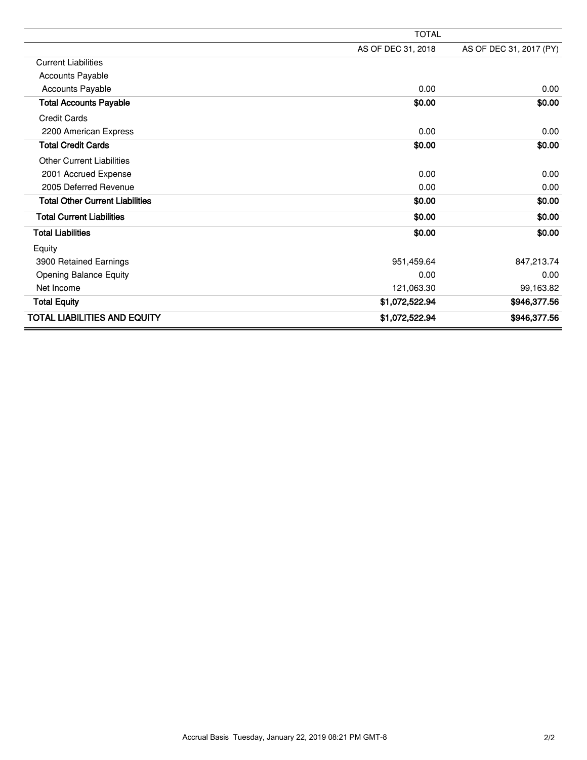|                                        | <b>TOTAL</b>       |                         |  |
|----------------------------------------|--------------------|-------------------------|--|
|                                        | AS OF DEC 31, 2018 | AS OF DEC 31, 2017 (PY) |  |
| <b>Current Liabilities</b>             |                    |                         |  |
| <b>Accounts Payable</b>                |                    |                         |  |
| Accounts Payable                       | 0.00               | 0.00                    |  |
| <b>Total Accounts Payable</b>          | \$0.00             | \$0.00                  |  |
| <b>Credit Cards</b>                    |                    |                         |  |
| 2200 American Express                  | 0.00               | 0.00                    |  |
| <b>Total Credit Cards</b>              | \$0.00             | \$0.00                  |  |
| <b>Other Current Liabilities</b>       |                    |                         |  |
| 2001 Accrued Expense                   | 0.00               | 0.00                    |  |
| 2005 Deferred Revenue                  | 0.00               | 0.00                    |  |
| <b>Total Other Current Liabilities</b> | \$0.00             | \$0.00                  |  |
| <b>Total Current Liabilities</b>       | \$0.00             | \$0.00                  |  |
| <b>Total Liabilities</b>               | \$0.00             | \$0.00                  |  |
| Equity                                 |                    |                         |  |
| 3900 Retained Earnings                 | 951,459.64         | 847,213.74              |  |
| <b>Opening Balance Equity</b>          | 0.00               | 0.00                    |  |
| Net Income                             | 121,063.30         | 99,163.82               |  |
| <b>Total Equity</b>                    | \$1,072,522.94     | \$946,377.56            |  |
| <b>TOTAL LIABILITIES AND EQUITY</b>    | \$1,072,522.94     | \$946,377.56            |  |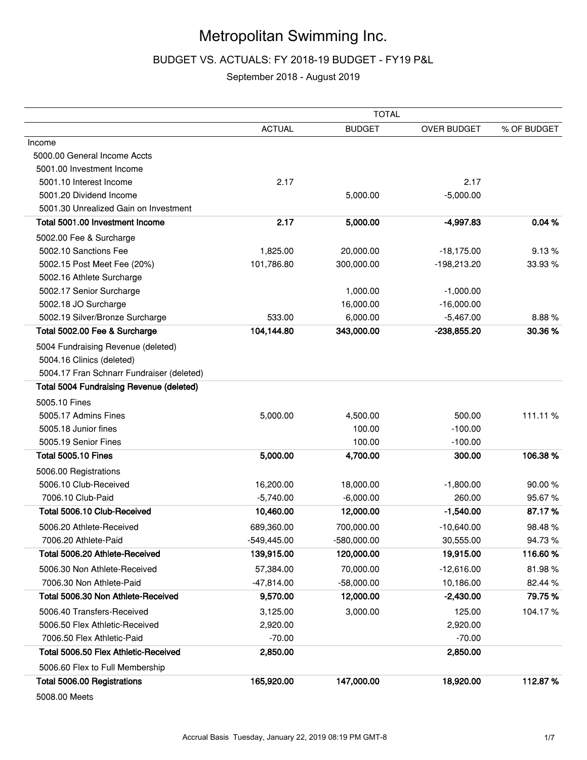# Metropolitan Swimming Inc.

# BUDGET VS. ACTUALS: FY 2018-19 BUDGET - FY19 P&L

September 2018 - August 2019

|                                                 | <b>TOTAL</b>  |               |                    |             |
|-------------------------------------------------|---------------|---------------|--------------------|-------------|
|                                                 | <b>ACTUAL</b> | <b>BUDGET</b> | <b>OVER BUDGET</b> | % OF BUDGET |
| Income                                          |               |               |                    |             |
| 5000.00 General Income Accts                    |               |               |                    |             |
| 5001.00 Investment Income                       |               |               |                    |             |
| 5001.10 Interest Income                         | 2.17          |               | 2.17               |             |
| 5001.20 Dividend Income                         |               | 5,000.00      | $-5,000.00$        |             |
| 5001.30 Unrealized Gain on Investment           |               |               |                    |             |
| Total 5001.00 Investment Income                 | 2.17          | 5,000.00      | -4,997.83          | 0.04%       |
| 5002.00 Fee & Surcharge                         |               |               |                    |             |
| 5002.10 Sanctions Fee                           | 1,825.00      | 20,000.00     | $-18,175.00$       | 9.13%       |
| 5002.15 Post Meet Fee (20%)                     | 101,786.80    | 300,000.00    | $-198,213.20$      | 33.93 %     |
| 5002.16 Athlete Surcharge                       |               |               |                    |             |
| 5002.17 Senior Surcharge                        |               | 1,000.00      | $-1,000.00$        |             |
| 5002.18 JO Surcharge                            |               | 16,000.00     | $-16,000.00$       |             |
| 5002.19 Silver/Bronze Surcharge                 | 533.00        | 6,000.00      | $-5,467.00$        | 8.88%       |
| Total 5002.00 Fee & Surcharge                   | 104,144.80    | 343,000.00    | $-238,855.20$      | 30.36%      |
| 5004 Fundraising Revenue (deleted)              |               |               |                    |             |
| 5004.16 Clinics (deleted)                       |               |               |                    |             |
| 5004.17 Fran Schnarr Fundraiser (deleted)       |               |               |                    |             |
| <b>Total 5004 Fundraising Revenue (deleted)</b> |               |               |                    |             |
| 5005.10 Fines                                   |               |               |                    |             |
| 5005.17 Admins Fines                            | 5,000.00      | 4,500.00      | 500.00             | 111.11%     |
| 5005.18 Junior fines                            |               | 100.00        | $-100.00$          |             |
| 5005.19 Senior Fines                            |               | 100.00        | $-100.00$          |             |
| <b>Total 5005.10 Fines</b>                      | 5,000.00      | 4,700.00      | 300.00             | 106.38%     |
| 5006.00 Registrations                           |               |               |                    |             |
| 5006.10 Club-Received                           | 16,200.00     | 18,000.00     | $-1,800.00$        | 90.00%      |
| 7006.10 Club-Paid                               | $-5,740.00$   | $-6,000.00$   | 260.00             | 95.67%      |
| Total 5006.10 Club-Received                     | 10,460.00     | 12,000.00     | $-1,540.00$        | 87.17%      |
| 5006.20 Athlete-Received                        | 689,360.00    | 700,000.00    | $-10,640.00$       | 98.48%      |
| 7006.20 Athlete-Paid                            | -549,445.00   | $-580,000.00$ | 30,555.00          | 94.73%      |
| Total 5006.20 Athlete-Received                  | 139,915.00    | 120,000.00    | 19,915.00          | 116.60%     |
| 5006.30 Non Athlete-Received                    | 57,384.00     | 70,000.00     | $-12,616.00$       | 81.98%      |
| 7006.30 Non Athlete-Paid                        | $-47,814.00$  | $-58,000.00$  | 10,186.00          | 82.44 %     |
| Total 5006.30 Non Athlete-Received              | 9,570.00      | 12,000.00     | $-2,430.00$        | 79.75%      |
| 5006.40 Transfers-Received                      | 3,125.00      | 3,000.00      | 125.00             | 104.17%     |
| 5006.50 Flex Athletic-Received                  | 2,920.00      |               | 2,920.00           |             |
| 7006.50 Flex Athletic-Paid                      | $-70.00$      |               | $-70.00$           |             |
| Total 5006.50 Flex Athletic-Received            | 2,850.00      |               | 2,850.00           |             |
| 5006.60 Flex to Full Membership                 |               |               |                    |             |
| Total 5006.00 Registrations                     | 165,920.00    | 147,000.00    | 18,920.00          | 112.87%     |
| 5008.00 Meets                                   |               |               |                    |             |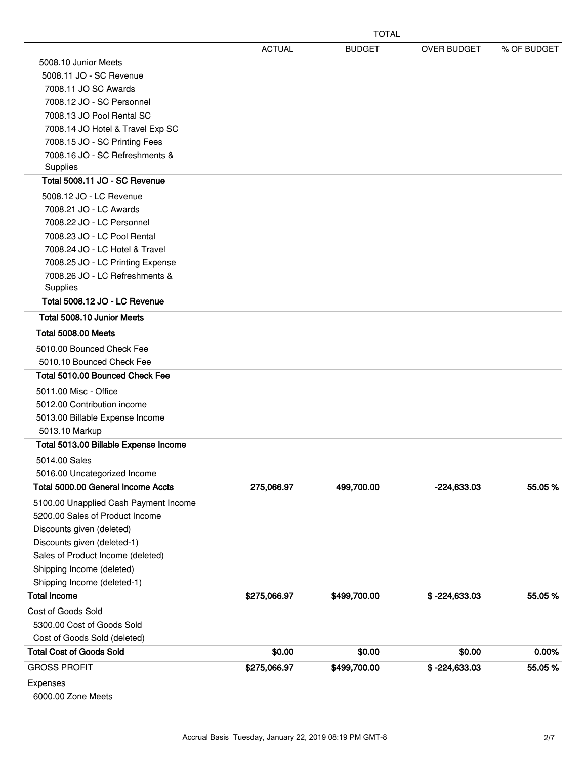|                                                                          |               | <b>TOTAL</b>  |                 |             |
|--------------------------------------------------------------------------|---------------|---------------|-----------------|-------------|
|                                                                          | <b>ACTUAL</b> | <b>BUDGET</b> | OVER BUDGET     | % OF BUDGET |
| 5008.10 Junior Meets                                                     |               |               |                 |             |
| 5008.11 JO - SC Revenue                                                  |               |               |                 |             |
| 7008.11 JO SC Awards                                                     |               |               |                 |             |
| 7008.12 JO - SC Personnel                                                |               |               |                 |             |
| 7008.13 JO Pool Rental SC                                                |               |               |                 |             |
| 7008.14 JO Hotel & Travel Exp SC                                         |               |               |                 |             |
| 7008.15 JO - SC Printing Fees                                            |               |               |                 |             |
| 7008.16 JO - SC Refreshments &                                           |               |               |                 |             |
| Supplies                                                                 |               |               |                 |             |
| Total 5008.11 JO - SC Revenue                                            |               |               |                 |             |
| 5008.12 JO - LC Revenue                                                  |               |               |                 |             |
| 7008.21 JO - LC Awards                                                   |               |               |                 |             |
| 7008.22 JO - LC Personnel                                                |               |               |                 |             |
| 7008.23 JO - LC Pool Rental                                              |               |               |                 |             |
| 7008.24 JO - LC Hotel & Travel                                           |               |               |                 |             |
| 7008.25 JO - LC Printing Expense                                         |               |               |                 |             |
| 7008.26 JO - LC Refreshments &                                           |               |               |                 |             |
| Supplies                                                                 |               |               |                 |             |
| Total 5008.12 JO - LC Revenue                                            |               |               |                 |             |
| Total 5008.10 Junior Meets                                               |               |               |                 |             |
| Total 5008.00 Meets                                                      |               |               |                 |             |
| 5010.00 Bounced Check Fee                                                |               |               |                 |             |
| 5010.10 Bounced Check Fee                                                |               |               |                 |             |
| Total 5010.00 Bounced Check Fee                                          |               |               |                 |             |
| 5011.00 Misc - Office                                                    |               |               |                 |             |
| 5012.00 Contribution income                                              |               |               |                 |             |
| 5013.00 Billable Expense Income                                          |               |               |                 |             |
| 5013.10 Markup                                                           |               |               |                 |             |
| Total 5013.00 Billable Expense Income                                    |               |               |                 |             |
| 5014.00 Sales                                                            |               |               |                 |             |
| 5016.00 Uncategorized Income                                             |               |               |                 |             |
| Total 5000.00 General Income Accts                                       | 275,066.97    | 499,700.00    | $-224,633.03$   | 55.05 %     |
|                                                                          |               |               |                 |             |
| 5100.00 Unapplied Cash Payment Income<br>5200.00 Sales of Product Income |               |               |                 |             |
| Discounts given (deleted)                                                |               |               |                 |             |
| Discounts given (deleted-1)                                              |               |               |                 |             |
| Sales of Product Income (deleted)                                        |               |               |                 |             |
| Shipping Income (deleted)                                                |               |               |                 |             |
| Shipping Income (deleted-1)                                              |               |               |                 |             |
| <b>Total Income</b>                                                      | \$275,066.97  | \$499,700.00  | $$ -224,633.03$ | 55.05%      |
| Cost of Goods Sold                                                       |               |               |                 |             |
| 5300.00 Cost of Goods Sold                                               |               |               |                 |             |
| Cost of Goods Sold (deleted)                                             |               |               |                 |             |
| <b>Total Cost of Goods Sold</b>                                          | \$0.00        | \$0.00        | \$0.00          | 0.00%       |
| <b>GROSS PROFIT</b>                                                      | \$275,066.97  | \$499,700.00  | $$ -224,633.03$ | 55.05%      |
| Expenses                                                                 |               |               |                 |             |
| 6000.00 Zone Meets                                                       |               |               |                 |             |
|                                                                          |               |               |                 |             |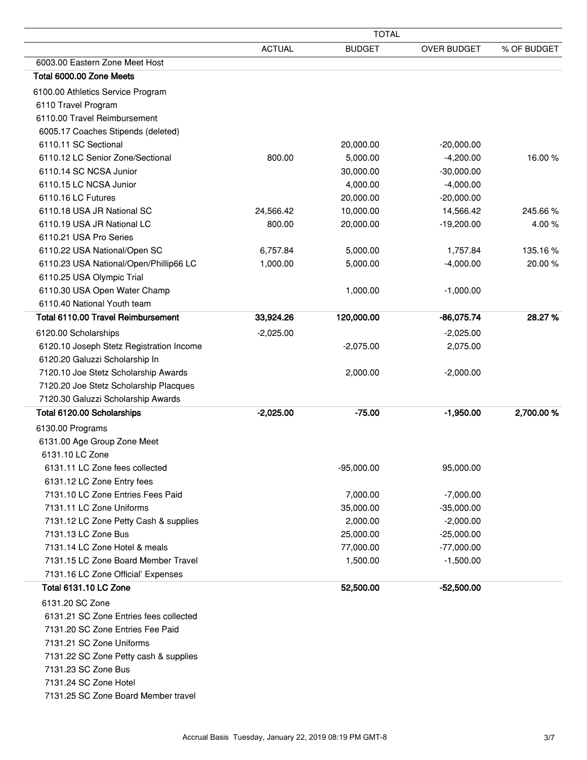|                                          |               | <b>TOTAL</b>  |                    |             |
|------------------------------------------|---------------|---------------|--------------------|-------------|
|                                          | <b>ACTUAL</b> | <b>BUDGET</b> | <b>OVER BUDGET</b> | % OF BUDGET |
| 6003.00 Eastern Zone Meet Host           |               |               |                    |             |
| Total 6000.00 Zone Meets                 |               |               |                    |             |
| 6100.00 Athletics Service Program        |               |               |                    |             |
| 6110 Travel Program                      |               |               |                    |             |
| 6110.00 Travel Reimbursement             |               |               |                    |             |
| 6005.17 Coaches Stipends (deleted)       |               |               |                    |             |
| 6110.11 SC Sectional                     |               | 20,000.00     | $-20,000.00$       |             |
| 6110.12 LC Senior Zone/Sectional         | 800.00        | 5,000.00      | $-4,200.00$        | 16.00%      |
| 6110.14 SC NCSA Junior                   |               | 30,000.00     | $-30,000.00$       |             |
| 6110.15 LC NCSA Junior                   |               | 4,000.00      | $-4,000.00$        |             |
| 6110.16 LC Futures                       |               | 20,000.00     | $-20,000.00$       |             |
| 6110.18 USA JR National SC               | 24,566.42     | 10,000.00     | 14,566.42          | 245.66%     |
| 6110.19 USA JR National LC               | 800.00        | 20,000.00     | $-19,200.00$       | 4.00%       |
| 6110.21 USA Pro Series                   |               |               |                    |             |
| 6110.22 USA National/Open SC             | 6,757.84      | 5,000.00      | 1,757.84           | 135.16%     |
| 6110.23 USA National/Open/Phillip66 LC   | 1,000.00      | 5,000.00      | $-4,000.00$        | 20.00%      |
| 6110.25 USA Olympic Trial                |               |               |                    |             |
| 6110.30 USA Open Water Champ             |               | 1,000.00      | $-1,000.00$        |             |
| 6110.40 National Youth team              |               |               |                    |             |
| Total 6110.00 Travel Reimbursement       | 33,924.26     | 120,000.00    | -86,075.74         | 28.27 %     |
| 6120.00 Scholarships                     | $-2,025.00$   |               | $-2,025.00$        |             |
| 6120.10 Joseph Stetz Registration Income |               | $-2,075.00$   | 2,075.00           |             |
| 6120.20 Galuzzi Scholarship In           |               |               |                    |             |
| 7120.10 Joe Stetz Scholarship Awards     |               | 2,000.00      | $-2,000.00$        |             |
| 7120.20 Joe Stetz Scholarship Placques   |               |               |                    |             |
| 7120.30 Galuzzi Scholarship Awards       |               |               |                    |             |
| Total 6120.00 Scholarships               | $-2,025.00$   | $-75.00$      | $-1,950.00$        | 2,700.00%   |
| 6130.00 Programs                         |               |               |                    |             |
| 6131.00 Age Group Zone Meet              |               |               |                    |             |
| 6131.10 LC Zone                          |               |               |                    |             |
| 6131.11 LC Zone fees collected           |               | $-95,000.00$  | 95,000.00          |             |
| 6131.12 LC Zone Entry fees               |               |               |                    |             |
| 7131.10 LC Zone Entries Fees Paid        |               | 7,000.00      | $-7,000.00$        |             |
| 7131.11 LC Zone Uniforms                 |               | 35,000.00     | $-35,000.00$       |             |
| 7131.12 LC Zone Petty Cash & supplies    |               | 2,000.00      | $-2,000.00$        |             |
| 7131.13 LC Zone Bus                      |               | 25,000.00     | $-25,000.00$       |             |
| 7131.14 LC Zone Hotel & meals            |               | 77,000.00     | $-77,000.00$       |             |
| 7131.15 LC Zone Board Member Travel      |               | 1,500.00      | $-1,500.00$        |             |
| 7131.16 LC Zone Official' Expenses       |               |               |                    |             |
| Total 6131.10 LC Zone                    |               | 52,500.00     | $-52,500.00$       |             |
| 6131.20 SC Zone                          |               |               |                    |             |
| 6131.21 SC Zone Entries fees collected   |               |               |                    |             |
| 7131.20 SC Zone Entries Fee Paid         |               |               |                    |             |
| 7131.21 SC Zone Uniforms                 |               |               |                    |             |
| 7131.22 SC Zone Petty cash & supplies    |               |               |                    |             |
| 7131.23 SC Zone Bus                      |               |               |                    |             |
| 7131.24 SC Zone Hotel                    |               |               |                    |             |
| 7131.25 SC Zone Board Member travel      |               |               |                    |             |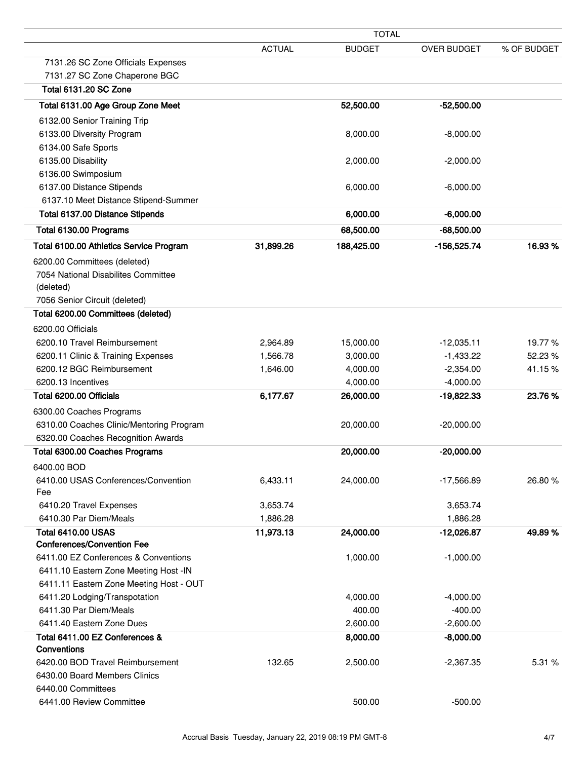|                                                                |               | <b>TOTAL</b>  |                    |             |
|----------------------------------------------------------------|---------------|---------------|--------------------|-------------|
|                                                                | <b>ACTUAL</b> | <b>BUDGET</b> | <b>OVER BUDGET</b> | % OF BUDGET |
| 7131.26 SC Zone Officials Expenses                             |               |               |                    |             |
| 7131.27 SC Zone Chaperone BGC                                  |               |               |                    |             |
| <b>Total 6131.20 SC Zone</b>                                   |               |               |                    |             |
| Total 6131.00 Age Group Zone Meet                              |               | 52,500.00     | $-52,500.00$       |             |
| 6132.00 Senior Training Trip                                   |               |               |                    |             |
| 6133.00 Diversity Program                                      |               | 8,000.00      | $-8,000.00$        |             |
| 6134.00 Safe Sports                                            |               |               |                    |             |
| 6135.00 Disability                                             |               | 2,000.00      | $-2,000.00$        |             |
| 6136.00 Swimposium                                             |               |               |                    |             |
| 6137.00 Distance Stipends                                      |               | 6,000.00      | $-6,000.00$        |             |
| 6137.10 Meet Distance Stipend-Summer                           |               |               |                    |             |
| Total 6137.00 Distance Stipends                                |               | 6,000.00      | $-6,000.00$        |             |
| Total 6130.00 Programs                                         |               | 68,500.00     | $-68,500.00$       |             |
| Total 6100.00 Athletics Service Program                        | 31,899.26     | 188,425.00    | $-156,525.74$      | 16.93%      |
| 6200.00 Committees (deleted)                                   |               |               |                    |             |
| 7054 National Disabilites Committee                            |               |               |                    |             |
| (deleted)                                                      |               |               |                    |             |
| 7056 Senior Circuit (deleted)                                  |               |               |                    |             |
| Total 6200.00 Committees (deleted)                             |               |               |                    |             |
| 6200.00 Officials                                              |               |               |                    |             |
| 6200.10 Travel Reimbursement                                   | 2,964.89      | 15,000.00     | $-12,035.11$       | 19.77%      |
| 6200.11 Clinic & Training Expenses                             | 1,566.78      | 3,000.00      | $-1,433.22$        | 52.23%      |
| 6200.12 BGC Reimbursement                                      | 1,646.00      | 4,000.00      | $-2,354.00$        | 41.15%      |
| 6200.13 Incentives                                             |               | 4,000.00      | $-4,000.00$        |             |
| Total 6200.00 Officials                                        | 6,177.67      | 26,000.00     | $-19,822.33$       | 23.76%      |
| 6300.00 Coaches Programs                                       |               |               |                    |             |
| 6310.00 Coaches Clinic/Mentoring Program                       |               | 20,000.00     | $-20,000.00$       |             |
| 6320.00 Coaches Recognition Awards                             |               |               |                    |             |
| Total 6300.00 Coaches Programs                                 |               | 20,000.00     | $-20,000.00$       |             |
| 6400.00 BOD                                                    |               |               |                    |             |
| 6410.00 USAS Conferences/Convention                            | 6,433.11      | 24,000.00     | $-17,566.89$       | 26.80%      |
| Fee                                                            |               |               |                    |             |
| 6410.20 Travel Expenses                                        | 3,653.74      |               | 3,653.74           |             |
| 6410.30 Par Diem/Meals                                         | 1,886.28      |               | 1,886.28           |             |
| <b>Total 6410.00 USAS</b><br><b>Conferences/Convention Fee</b> | 11,973.13     | 24,000.00     | $-12,026.87$       | 49.89%      |
| 6411.00 EZ Conferences & Conventions                           |               | 1,000.00      | $-1,000.00$        |             |
| 6411.10 Eastern Zone Meeting Host -IN                          |               |               |                    |             |
| 6411.11 Eastern Zone Meeting Host - OUT                        |               |               |                    |             |
| 6411.20 Lodging/Transpotation                                  |               | 4,000.00      | $-4,000.00$        |             |
| 6411.30 Par Diem/Meals                                         |               | 400.00        | $-400.00$          |             |
| 6411.40 Eastern Zone Dues                                      |               | 2,600.00      | $-2,600.00$        |             |
| Total 6411.00 EZ Conferences &                                 |               | 8,000.00      | $-8,000.00$        |             |
| Conventions                                                    |               |               |                    |             |
| 6420.00 BOD Travel Reimbursement                               | 132.65        | 2,500.00      | $-2,367.35$        | 5.31 %      |
| 6430.00 Board Members Clinics                                  |               |               |                    |             |
| 6440.00 Committees                                             |               |               |                    |             |
| 6441.00 Review Committee                                       |               | 500.00        | $-500.00$          |             |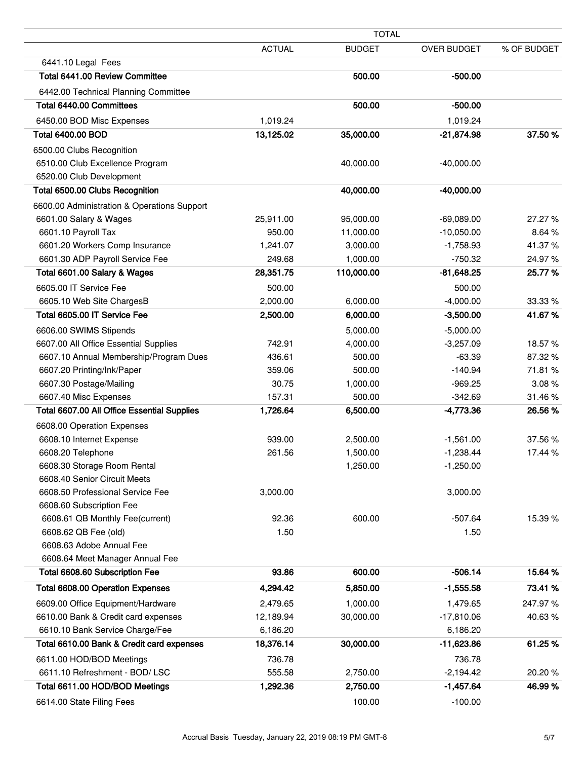|                                                                   | <b>TOTAL</b>  |               |                    |             |
|-------------------------------------------------------------------|---------------|---------------|--------------------|-------------|
|                                                                   | <b>ACTUAL</b> | <b>BUDGET</b> | <b>OVER BUDGET</b> | % OF BUDGET |
| 6441.10 Legal Fees                                                |               |               |                    |             |
| Total 6441.00 Review Committee                                    |               | 500.00        | $-500.00$          |             |
| 6442.00 Technical Planning Committee                              |               |               |                    |             |
| Total 6440.00 Committees                                          |               | 500.00        | $-500.00$          |             |
| 6450.00 BOD Misc Expenses                                         | 1,019.24      |               | 1,019.24           |             |
| <b>Total 6400.00 BOD</b>                                          | 13,125.02     | 35,000.00     | $-21,874.98$       | 37.50 %     |
| 6500.00 Clubs Recognition                                         |               |               |                    |             |
| 6510.00 Club Excellence Program                                   |               | 40,000.00     | $-40,000.00$       |             |
| 6520.00 Club Development                                          |               |               |                    |             |
| Total 6500.00 Clubs Recognition                                   |               | 40,000.00     | $-40,000.00$       |             |
| 6600.00 Administration & Operations Support                       |               |               |                    |             |
| 6601.00 Salary & Wages                                            | 25,911.00     | 95,000.00     | $-69,089.00$       | 27.27%      |
| 6601.10 Payroll Tax                                               | 950.00        | 11,000.00     | $-10,050.00$       | 8.64%       |
| 6601.20 Workers Comp Insurance                                    | 1,241.07      | 3,000.00      | $-1,758.93$        | 41.37%      |
| 6601.30 ADP Payroll Service Fee                                   | 249.68        | 1,000.00      | $-750.32$          | 24.97%      |
| Total 6601.00 Salary & Wages                                      | 28,351.75     | 110,000.00    | $-81,648.25$       | 25.77%      |
| 6605.00 IT Service Fee                                            | 500.00        |               | 500.00             |             |
| 6605.10 Web Site ChargesB                                         | 2,000.00      | 6,000.00      | $-4,000.00$        | 33.33 %     |
| Total 6605.00 IT Service Fee                                      | 2,500.00      | 6,000.00      | $-3,500.00$        | 41.67%      |
| 6606.00 SWIMS Stipends                                            |               | 5,000.00      | $-5,000.00$        |             |
| 6607.00 All Office Essential Supplies                             | 742.91        | 4,000.00      | $-3,257.09$        | 18.57%      |
| 6607.10 Annual Membership/Program Dues                            | 436.61        | 500.00        | $-63.39$           | 87.32%      |
| 6607.20 Printing/Ink/Paper                                        | 359.06        | 500.00        | $-140.94$          | 71.81%      |
| 6607.30 Postage/Mailing                                           | 30.75         | 1,000.00      | $-969.25$          | 3.08%       |
| 6607.40 Misc Expenses                                             | 157.31        | 500.00        | $-342.69$          | 31.46%      |
| Total 6607.00 All Office Essential Supplies                       | 1,726.64      | 6,500.00      | $-4,773.36$        | 26.56%      |
| 6608.00 Operation Expenses                                        |               |               |                    |             |
| 6608.10 Internet Expense                                          | 939.00        | 2,500.00      | $-1,561.00$        | 37.56 %     |
| 6608.20 Telephone                                                 | 261.56        | 1,500.00      | $-1,238.44$        | 17.44 %     |
| 6608.30 Storage Room Rental                                       |               | 1,250.00      | $-1,250.00$        |             |
| 6608.40 Senior Circuit Meets                                      |               |               |                    |             |
| 6608.50 Professional Service Fee                                  | 3,000.00      |               | 3,000.00           |             |
| 6608.60 Subscription Fee                                          |               |               |                    |             |
| 6608.61 QB Monthly Fee(current)                                   | 92.36         | 600.00        | $-507.64$          | 15.39 %     |
| 6608.62 QB Fee (old)                                              | 1.50          |               | 1.50               |             |
| 6608.63 Adobe Annual Fee                                          |               |               |                    |             |
| 6608.64 Meet Manager Annual Fee<br>Total 6608.60 Subscription Fee | 93.86         | 600.00        | $-506.14$          | 15.64 %     |
|                                                                   |               |               |                    |             |
| <b>Total 6608.00 Operation Expenses</b>                           | 4,294.42      | 5,850.00      | $-1,555.58$        | 73.41 %     |
| 6609.00 Office Equipment/Hardware                                 | 2,479.65      | 1,000.00      | 1,479.65           | 247.97%     |
| 6610.00 Bank & Credit card expenses                               | 12,189.94     | 30,000.00     | $-17,810.06$       | 40.63%      |
| 6610.10 Bank Service Charge/Fee                                   | 6,186.20      |               | 6,186.20           |             |
| Total 6610.00 Bank & Credit card expenses                         | 18,376.14     | 30,000.00     | $-11,623.86$       | 61.25%      |
| 6611.00 HOD/BOD Meetings                                          | 736.78        |               | 736.78             |             |
| 6611.10 Refreshment - BOD/ LSC                                    | 555.58        | 2,750.00      | $-2,194.42$        | 20.20%      |
| Total 6611.00 HOD/BOD Meetings                                    | 1,292.36      | 2,750.00      | $-1,457.64$        | 46.99 %     |
| 6614.00 State Filing Fees                                         |               | 100.00        | $-100.00$          |             |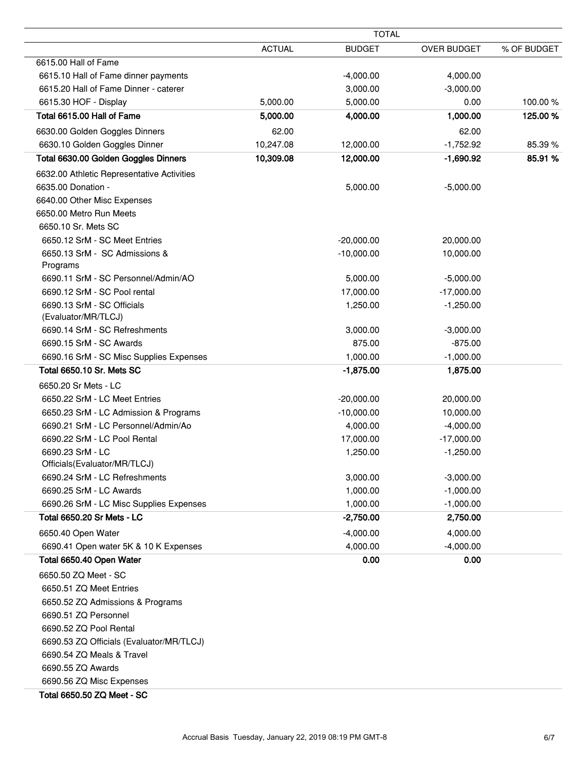|                                            |               | <b>TOTAL</b>  |                    |             |
|--------------------------------------------|---------------|---------------|--------------------|-------------|
|                                            | <b>ACTUAL</b> | <b>BUDGET</b> | <b>OVER BUDGET</b> | % OF BUDGET |
| 6615.00 Hall of Fame                       |               |               |                    |             |
| 6615.10 Hall of Fame dinner payments       |               | $-4,000.00$   | 4,000.00           |             |
| 6615.20 Hall of Fame Dinner - caterer      |               | 3,000.00      | $-3,000.00$        |             |
| 6615.30 HOF - Display                      | 5,000.00      | 5,000.00      | 0.00               | 100.00%     |
| Total 6615.00 Hall of Fame                 | 5,000.00      | 4,000.00      | 1,000.00           | 125.00 %    |
| 6630.00 Golden Goggles Dinners             | 62.00         |               | 62.00              |             |
| 6630.10 Golden Goggles Dinner              | 10,247.08     | 12,000.00     | $-1,752.92$        | 85.39 %     |
| Total 6630.00 Golden Goggles Dinners       | 10,309.08     | 12,000.00     | $-1,690.92$        | 85.91 %     |
| 6632.00 Athletic Representative Activities |               |               |                    |             |
| 6635.00 Donation -                         |               | 5,000.00      | $-5,000.00$        |             |
| 6640.00 Other Misc Expenses                |               |               |                    |             |
| 6650.00 Metro Run Meets                    |               |               |                    |             |
| 6650.10 Sr. Mets SC                        |               |               |                    |             |
| 6650.12 SrM - SC Meet Entries              |               | $-20,000.00$  | 20,000.00          |             |
| 6650.13 SrM - SC Admissions &              |               | $-10,000.00$  | 10,000.00          |             |
| Programs                                   |               |               |                    |             |
| 6690.11 SrM - SC Personnel/Admin/AO        |               | 5,000.00      | $-5,000.00$        |             |
| 6690.12 SrM - SC Pool rental               |               | 17,000.00     | $-17,000.00$       |             |
| 6690.13 SrM - SC Officials                 |               | 1,250.00      | $-1,250.00$        |             |
| (Evaluator/MR/TLCJ)                        |               |               |                    |             |
| 6690.14 SrM - SC Refreshments              |               | 3,000.00      | $-3,000.00$        |             |
| 6690.15 SrM - SC Awards                    |               | 875.00        | $-875.00$          |             |
| 6690.16 SrM - SC Misc Supplies Expenses    |               | 1,000.00      | $-1,000.00$        |             |
| Total 6650.10 Sr. Mets SC                  |               | $-1,875.00$   | 1,875.00           |             |
| 6650.20 Sr Mets - LC                       |               |               |                    |             |
| 6650.22 SrM - LC Meet Entries              |               | $-20,000.00$  | 20,000.00          |             |
| 6650.23 SrM - LC Admission & Programs      |               | $-10,000.00$  | 10,000.00          |             |
| 6690.21 SrM - LC Personnel/Admin/Ao        |               | 4,000.00      | $-4,000.00$        |             |
| 6690.22 SrM - LC Pool Rental               |               | 17,000.00     | $-17,000.00$       |             |
| 6690.23 SrM - LC                           |               | 1,250.00      | $-1,250.00$        |             |
| Officials(Evaluator/MR/TLCJ)               |               |               |                    |             |
| 6690.24 SrM - LC Refreshments              |               | 3,000.00      | $-3,000.00$        |             |
| 6690.25 SrM - LC Awards                    |               | 1,000.00      | $-1,000.00$        |             |
| 6690.26 SrM - LC Misc Supplies Expenses    |               | 1,000.00      | $-1,000.00$        |             |
| Total 6650.20 Sr Mets - LC                 |               | $-2,750.00$   | 2,750.00           |             |
| 6650.40 Open Water                         |               | $-4,000.00$   | 4,000.00           |             |
| 6690.41 Open water 5K & 10 K Expenses      |               | 4,000.00      | $-4,000.00$        |             |
| Total 6650.40 Open Water                   |               | 0.00          | 0.00               |             |
| 6650.50 ZQ Meet - SC                       |               |               |                    |             |
| 6650.51 ZQ Meet Entries                    |               |               |                    |             |
| 6650.52 ZQ Admissions & Programs           |               |               |                    |             |
| 6690.51 ZQ Personnel                       |               |               |                    |             |
| 6690.52 ZQ Pool Rental                     |               |               |                    |             |
| 6690.53 ZQ Officials (Evaluator/MR/TLCJ)   |               |               |                    |             |
| 6690.54 ZQ Meals & Travel                  |               |               |                    |             |
| 6690.55 ZQ Awards                          |               |               |                    |             |
| 6690.56 ZQ Misc Expenses                   |               |               |                    |             |
| Total 6650.50 ZQ Meet - SC                 |               |               |                    |             |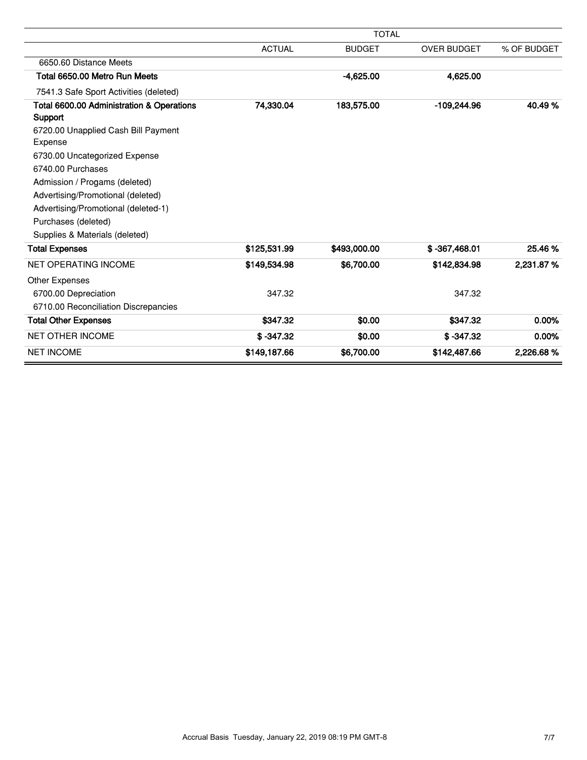|                                           | <b>TOTAL</b>  |               |                    |             |
|-------------------------------------------|---------------|---------------|--------------------|-------------|
|                                           | <b>ACTUAL</b> | <b>BUDGET</b> | <b>OVER BUDGET</b> | % OF BUDGET |
| 6650.60 Distance Meets                    |               |               |                    |             |
| Total 6650.00 Metro Run Meets             |               | $-4,625.00$   | 4,625.00           |             |
| 7541.3 Safe Sport Activities (deleted)    |               |               |                    |             |
| Total 6600.00 Administration & Operations | 74,330.04     | 183,575.00    | -109,244.96        | 40.49%      |
| Support                                   |               |               |                    |             |
| 6720.00 Unapplied Cash Bill Payment       |               |               |                    |             |
| Expense                                   |               |               |                    |             |
| 6730.00 Uncategorized Expense             |               |               |                    |             |
| 6740.00 Purchases                         |               |               |                    |             |
| Admission / Progams (deleted)             |               |               |                    |             |
| Advertising/Promotional (deleted)         |               |               |                    |             |
| Advertising/Promotional (deleted-1)       |               |               |                    |             |
| Purchases (deleted)                       |               |               |                    |             |
| Supplies & Materials (deleted)            |               |               |                    |             |
| <b>Total Expenses</b>                     | \$125,531.99  | \$493,000.00  | $$ -367,468.01$    | 25.46 %     |
| <b>NET OPERATING INCOME</b>               | \$149,534.98  | \$6,700.00    | \$142,834.98       | 2,231.87%   |
| <b>Other Expenses</b>                     |               |               |                    |             |
| 6700.00 Depreciation                      | 347.32        |               | 347.32             |             |
| 6710.00 Reconciliation Discrepancies      |               |               |                    |             |
| <b>Total Other Expenses</b>               | \$347.32      | \$0.00        | \$347.32           | 0.00%       |
| <b>NET OTHER INCOME</b>                   | $$ -347.32$   | \$0.00        | $$ -347.32$        | 0.00%       |
| <b>NET INCOME</b>                         | \$149,187.66  | \$6,700.00    | \$142,487.66       | 2,226.68%   |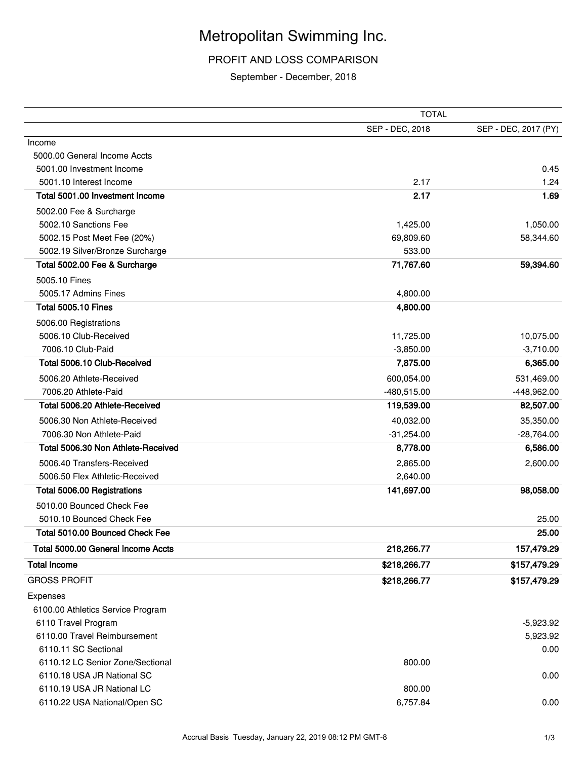# Metropolitan Swimming Inc.

# PROFIT AND LOSS COMPARISON

September - December, 2018

|                                    | <b>TOTAL</b>    |                      |  |  |
|------------------------------------|-----------------|----------------------|--|--|
|                                    | SEP - DEC, 2018 | SEP - DEC, 2017 (PY) |  |  |
| Income                             |                 |                      |  |  |
| 5000.00 General Income Accts       |                 |                      |  |  |
| 5001.00 Investment Income          |                 | 0.45                 |  |  |
| 5001.10 Interest Income            | 2.17            | 1.24                 |  |  |
| Total 5001.00 Investment Income    | 2.17            | 1.69                 |  |  |
| 5002.00 Fee & Surcharge            |                 |                      |  |  |
| 5002.10 Sanctions Fee              | 1,425.00        | 1,050.00             |  |  |
| 5002.15 Post Meet Fee (20%)        | 69,809.60       | 58,344.60            |  |  |
| 5002.19 Silver/Bronze Surcharge    | 533.00          |                      |  |  |
| Total 5002.00 Fee & Surcharge      | 71,767.60       | 59,394.60            |  |  |
| 5005.10 Fines                      |                 |                      |  |  |
| 5005.17 Admins Fines               | 4,800.00        |                      |  |  |
| <b>Total 5005.10 Fines</b>         | 4,800.00        |                      |  |  |
| 5006.00 Registrations              |                 |                      |  |  |
| 5006.10 Club-Received              | 11,725.00       | 10,075.00            |  |  |
| 7006.10 Club-Paid                  | $-3,850.00$     | $-3,710.00$          |  |  |
| Total 5006.10 Club-Received        | 7,875.00        | 6,365.00             |  |  |
| 5006.20 Athlete-Received           | 600,054.00      | 531,469.00           |  |  |
| 7006.20 Athlete-Paid               | $-480,515.00$   | -448,962.00          |  |  |
| Total 5006.20 Athlete-Received     | 119,539.00      | 82,507.00            |  |  |
| 5006.30 Non Athlete-Received       | 40,032.00       | 35,350.00            |  |  |
| 7006.30 Non Athlete-Paid           | $-31,254.00$    | $-28,764.00$         |  |  |
| Total 5006.30 Non Athlete-Received | 8,778.00        | 6,586.00             |  |  |
| 5006.40 Transfers-Received         | 2,865.00        | 2,600.00             |  |  |
| 5006.50 Flex Athletic-Received     | 2,640.00        |                      |  |  |
| Total 5006.00 Registrations        | 141,697.00      | 98,058.00            |  |  |
| 5010.00 Bounced Check Fee          |                 |                      |  |  |
| 5010.10 Bounced Check Fee          |                 | 25.00                |  |  |
| Total 5010.00 Bounced Check Fee    |                 | 25.00                |  |  |
| Total 5000.00 General Income Accts | 218,266.77      | 157,479.29           |  |  |
|                                    |                 |                      |  |  |
| <b>Total Income</b>                | \$218,266.77    | \$157,479.29         |  |  |
| <b>GROSS PROFIT</b>                | \$218,266.77    | \$157,479.29         |  |  |
| Expenses                           |                 |                      |  |  |
| 6100.00 Athletics Service Program  |                 |                      |  |  |
| 6110 Travel Program                |                 | $-5,923.92$          |  |  |
| 6110.00 Travel Reimbursement       |                 | 5,923.92             |  |  |
| 6110.11 SC Sectional               |                 | 0.00                 |  |  |
| 6110.12 LC Senior Zone/Sectional   | 800.00          |                      |  |  |
| 6110.18 USA JR National SC         |                 | 0.00                 |  |  |
| 6110.19 USA JR National LC         | 800.00          |                      |  |  |
| 6110.22 USA National/Open SC       | 6,757.84        | 0.00                 |  |  |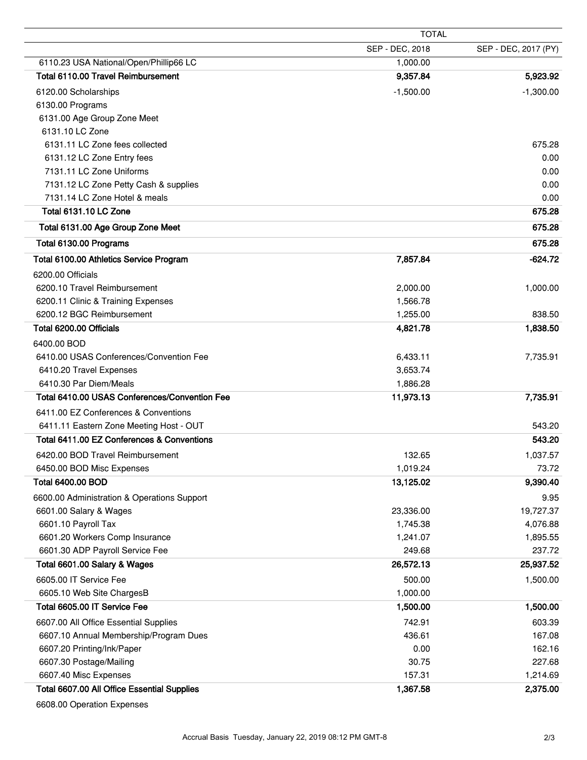|                                               | <b>TOTAL</b>    |                      |  |
|-----------------------------------------------|-----------------|----------------------|--|
|                                               | SEP - DEC, 2018 | SEP - DEC, 2017 (PY) |  |
| 6110.23 USA National/Open/Phillip66 LC        | 1,000.00        |                      |  |
| Total 6110.00 Travel Reimbursement            | 9,357.84        | 5,923.92             |  |
| 6120.00 Scholarships                          | $-1,500.00$     | $-1,300.00$          |  |
| 6130.00 Programs                              |                 |                      |  |
| 6131.00 Age Group Zone Meet                   |                 |                      |  |
| 6131.10 LC Zone                               |                 |                      |  |
| 6131.11 LC Zone fees collected                |                 | 675.28               |  |
| 6131.12 LC Zone Entry fees                    |                 | 0.00                 |  |
| 7131.11 LC Zone Uniforms                      |                 | 0.00                 |  |
| 7131.12 LC Zone Petty Cash & supplies         |                 | 0.00                 |  |
| 7131.14 LC Zone Hotel & meals                 |                 | 0.00                 |  |
| Total 6131.10 LC Zone                         |                 | 675.28               |  |
| Total 6131.00 Age Group Zone Meet             |                 | 675.28               |  |
| Total 6130.00 Programs                        |                 | 675.28               |  |
| Total 6100.00 Athletics Service Program       | 7,857.84        | $-624.72$            |  |
| 6200.00 Officials                             |                 |                      |  |
| 6200.10 Travel Reimbursement                  | 2,000.00        | 1,000.00             |  |
| 6200.11 Clinic & Training Expenses            | 1,566.78        |                      |  |
| 6200.12 BGC Reimbursement                     | 1,255.00        | 838.50               |  |
| Total 6200.00 Officials                       | 4,821.78        | 1,838.50             |  |
| 6400.00 BOD                                   |                 |                      |  |
| 6410.00 USAS Conferences/Convention Fee       | 6,433.11        | 7,735.91             |  |
| 6410.20 Travel Expenses                       | 3,653.74        |                      |  |
| 6410.30 Par Diem/Meals                        | 1,886.28        |                      |  |
| Total 6410.00 USAS Conferences/Convention Fee | 11,973.13       | 7,735.91             |  |
| 6411.00 EZ Conferences & Conventions          |                 |                      |  |
| 6411.11 Eastern Zone Meeting Host - OUT       |                 | 543.20               |  |
| Total 6411.00 EZ Conferences & Conventions    |                 | 543.20               |  |
| 6420.00 BOD Travel Reimbursement              | 132.65          | 1,037.57             |  |
| 6450.00 BOD Misc Expenses                     | 1,019.24        | 73.72                |  |
| <b>Total 6400.00 BOD</b>                      | 13,125.02       | 9,390.40             |  |
| 6600.00 Administration & Operations Support   |                 | 9.95                 |  |
| 6601.00 Salary & Wages                        | 23,336.00       | 19,727.37            |  |
| 6601.10 Payroll Tax                           | 1,745.38        | 4,076.88             |  |
| 6601.20 Workers Comp Insurance                | 1,241.07        | 1,895.55             |  |
| 6601.30 ADP Payroll Service Fee               | 249.68          | 237.72               |  |
| Total 6601.00 Salary & Wages                  | 26,572.13       | 25,937.52            |  |
| 6605.00 IT Service Fee                        | 500.00          | 1,500.00             |  |
| 6605.10 Web Site ChargesB                     | 1,000.00        |                      |  |
| Total 6605.00 IT Service Fee                  | 1,500.00        | 1,500.00             |  |
| 6607.00 All Office Essential Supplies         | 742.91          | 603.39               |  |
| 6607.10 Annual Membership/Program Dues        | 436.61          | 167.08               |  |
| 6607.20 Printing/Ink/Paper                    | 0.00            | 162.16               |  |
| 6607.30 Postage/Mailing                       | 30.75           | 227.68               |  |
| 6607.40 Misc Expenses                         | 157.31          | 1,214.69             |  |
| Total 6607.00 All Office Essential Supplies   | 1,367.58        | 2,375.00             |  |

6608.00 Operation Expenses